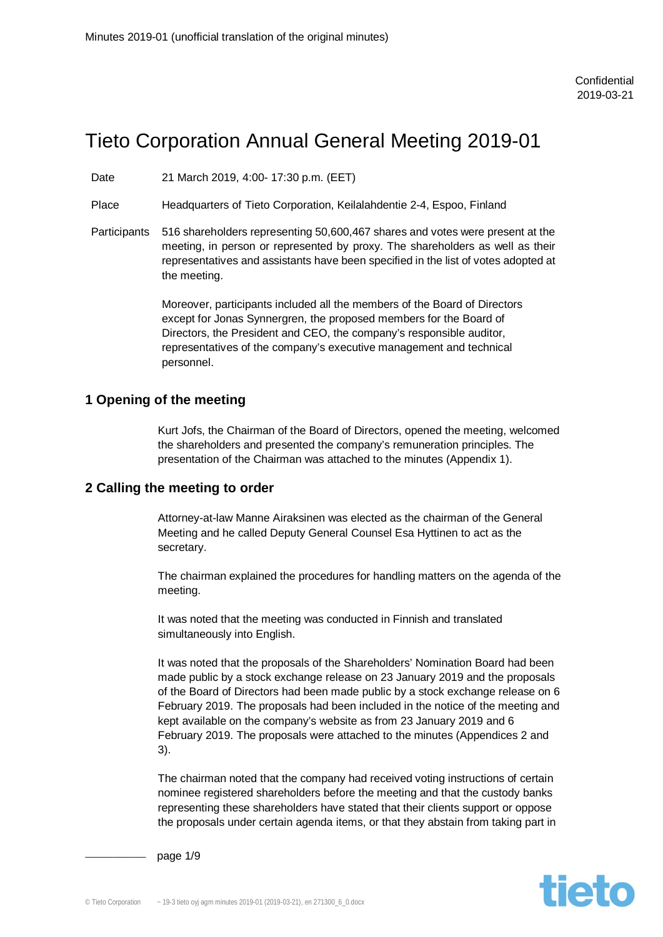# Tieto Corporation Annual General Meeting 2019-01

Date 21 March 2019, 4:00- 17:30 p.m. (EET)

Place Headquarters of Tieto Corporation, Keilalahdentie 2-4, Espoo, Finland

Participants 516 shareholders representing 50,600,467 shares and votes were present at the meeting, in person or represented by proxy. The shareholders as well as their representatives and assistants have been specified in the list of votes adopted at the meeting.

> Moreover, participants included all the members of the Board of Directors except for Jonas Synnergren, the proposed members for the Board of Directors, the President and CEO, the company's responsible auditor, representatives of the company's executive management and technical personnel.

#### **1 Opening of the meeting**

Kurt Jofs, the Chairman of the Board of Directors, opened the meeting, welcomed the shareholders and presented the company's remuneration principles. The presentation of the Chairman was attached to the minutes (Appendix 1).

#### **2 Calling the meeting to order**

Attorney-at-law Manne Airaksinen was elected as the chairman of the General Meeting and he called Deputy General Counsel Esa Hyttinen to act as the secretary.

The chairman explained the procedures for handling matters on the agenda of the meeting.

It was noted that the meeting was conducted in Finnish and translated simultaneously into English.

It was noted that the proposals of the Shareholders' Nomination Board had been made public by a stock exchange release on 23 January 2019 and the proposals of the Board of Directors had been made public by a stock exchange release on 6 February 2019. The proposals had been included in the notice of the meeting and kept available on the company's website as from 23 January 2019 and 6 February 2019. The proposals were attached to the minutes (Appendices 2 and 3).

The chairman noted that the company had received voting instructions of certain nominee registered shareholders before the meeting and that the custody banks representing these shareholders have stated that their clients support or oppose the proposals under certain agenda items, or that they abstain from taking part in

**tieto** 

page 1/9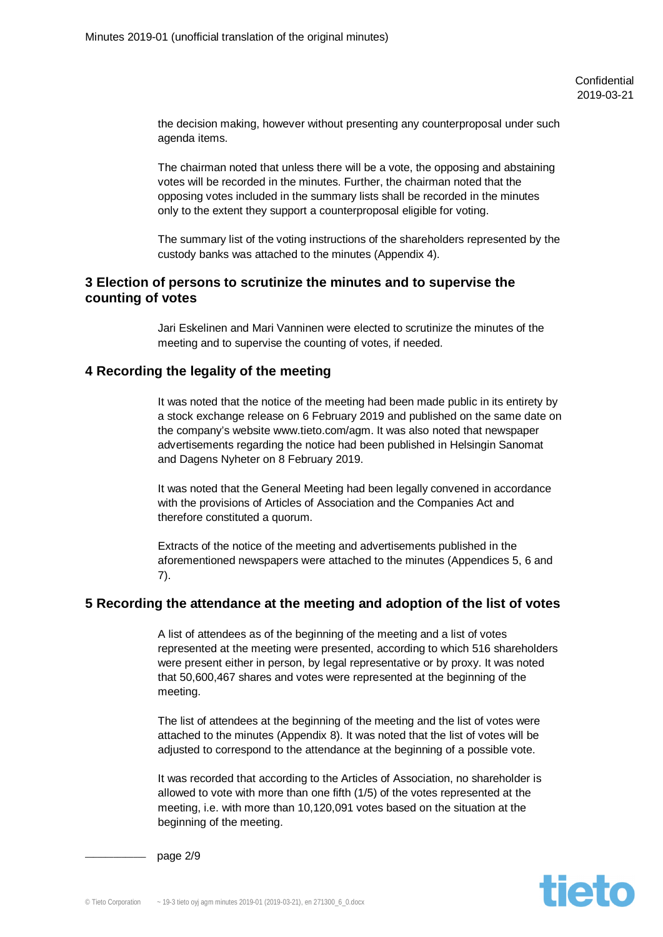the decision making, however without presenting any counterproposal under such agenda items.

The chairman noted that unless there will be a vote, the opposing and abstaining votes will be recorded in the minutes. Further, the chairman noted that the opposing votes included in the summary lists shall be recorded in the minutes only to the extent they support a counterproposal eligible for voting.

The summary list of the voting instructions of the shareholders represented by the custody banks was attached to the minutes (Appendix 4).

## **3 Election of persons to scrutinize the minutes and to supervise the counting of votes**

Jari Eskelinen and Mari Vanninen were elected to scrutinize the minutes of the meeting and to supervise the counting of votes, if needed.

## **4 Recording the legality of the meeting**

It was noted that the notice of the meeting had been made public in its entirety by a stock exchange release on 6 February 2019 and published on the same date on the company's website www.tieto.com/agm. It was also noted that newspaper advertisements regarding the notice had been published in Helsingin Sanomat and Dagens Nyheter on 8 February 2019.

It was noted that the General Meeting had been legally convened in accordance with the provisions of Articles of Association and the Companies Act and therefore constituted a quorum.

Extracts of the notice of the meeting and advertisements published in the aforementioned newspapers were attached to the minutes (Appendices 5, 6 and 7).

#### **5 Recording the attendance at the meeting and adoption of the list of votes**

A list of attendees as of the beginning of the meeting and a list of votes represented at the meeting were presented, according to which 516 shareholders were present either in person, by legal representative or by proxy. It was noted that 50,600,467 shares and votes were represented at the beginning of the meeting.

The list of attendees at the beginning of the meeting and the list of votes were attached to the minutes (Appendix 8). It was noted that the list of votes will be adjusted to correspond to the attendance at the beginning of a possible vote.

It was recorded that according to the Articles of Association, no shareholder is allowed to vote with more than one fifth (1/5) of the votes represented at the meeting, i.e. with more than 10,120,091 votes based on the situation at the beginning of the meeting.

page 2/9

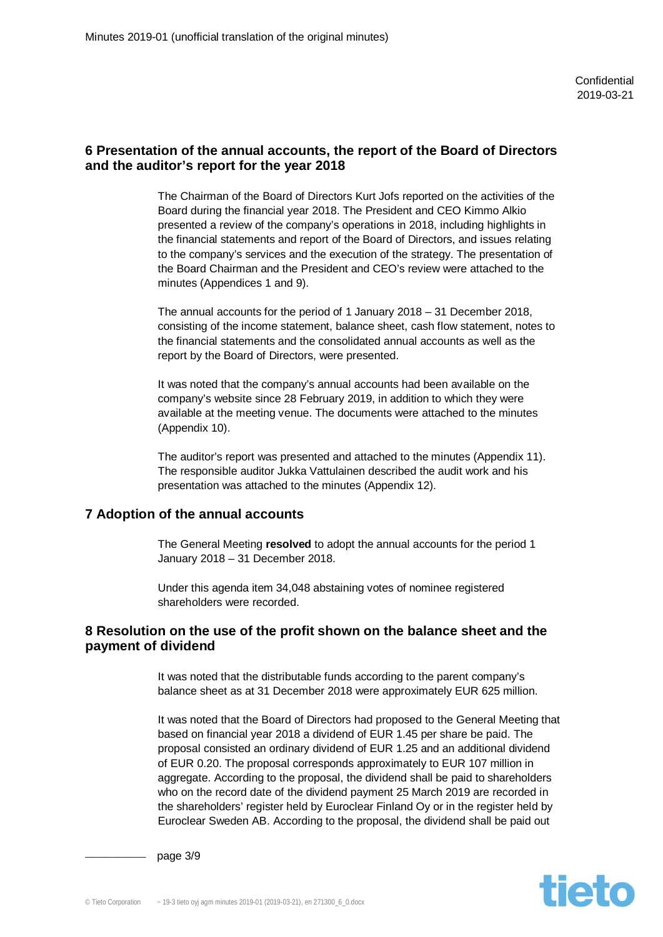# **6 Presentation of the annual accounts, the report of the Board of Directors and the auditor's report for the year 2018**

The Chairman of the Board of Directors Kurt Jofs reported on the activities of the Board during the financial year 2018. The President and CEO Kimmo Alkio presented a review of the company's operations in 2018, including highlights in the financial statements and report of the Board of Directors, and issues relating to the company's services and the execution of the strategy. The presentation of the Board Chairman and the President and CEO's review were attached to the minutes (Appendices 1 and 9).

The annual accounts for the period of 1 January 2018 – 31 December 2018, consisting of the income statement, balance sheet, cash flow statement, notes to the financial statements and the consolidated annual accounts as well as the report by the Board of Directors, were presented.

It was noted that the company's annual accounts had been available on the company's website since 28 February 2019, in addition to which they were available at the meeting venue. The documents were attached to the minutes (Appendix 10).

The auditor's report was presented and attached to the minutes (Appendix 11). The responsible auditor Jukka Vattulainen described the audit work and his presentation was attached to the minutes (Appendix 12).

#### **7 Adoption of the annual accounts**

The General Meeting **resolved** to adopt the annual accounts for the period 1 January 2018 – 31 December 2018.

Under this agenda item 34,048 abstaining votes of nominee registered shareholders were recorded.

#### **8 Resolution on the use of the profit shown on the balance sheet and the payment of dividend**

It was noted that the distributable funds according to the parent company's balance sheet as at 31 December 2018 were approximately EUR 625 million.

It was noted that the Board of Directors had proposed to the General Meeting that based on financial year 2018 a dividend of EUR 1.45 per share be paid. The proposal consisted an ordinary dividend of EUR 1.25 and an additional dividend of EUR 0.20. The proposal corresponds approximately to EUR 107 million in aggregate. According to the proposal, the dividend shall be paid to shareholders who on the record date of the dividend payment 25 March 2019 are recorded in the shareholders' register held by Euroclear Finland Oy or in the register held by Euroclear Sweden AB. According to the proposal, the dividend shall be paid out



page 3/9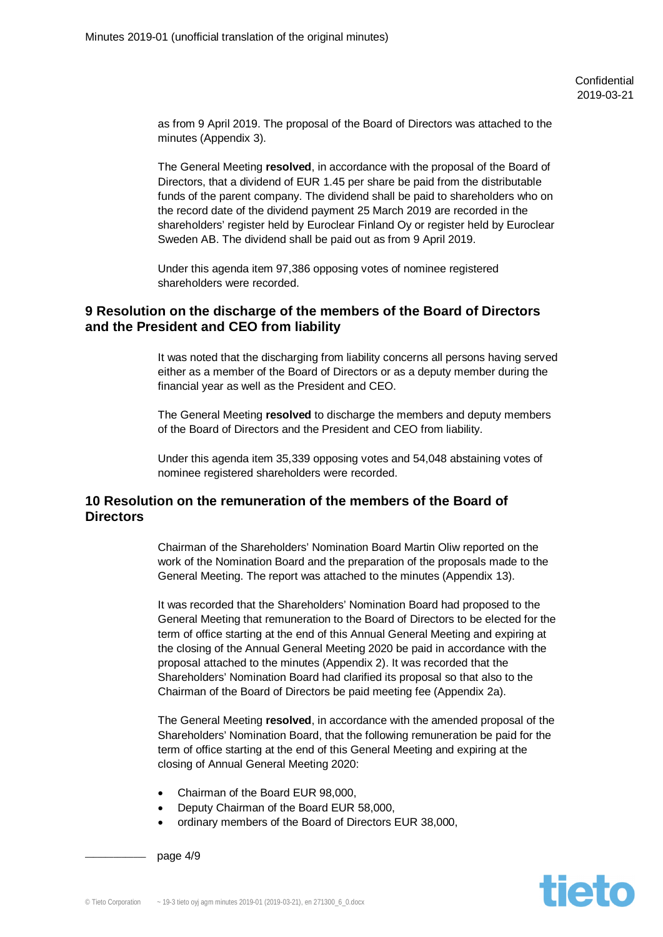as from 9 April 2019. The proposal of the Board of Directors was attached to the minutes (Appendix 3).

The General Meeting **resolved**, in accordance with the proposal of the Board of Directors, that a dividend of EUR 1.45 per share be paid from the distributable funds of the parent company. The dividend shall be paid to shareholders who on the record date of the dividend payment 25 March 2019 are recorded in the shareholders' register held by Euroclear Finland Oy or register held by Euroclear Sweden AB. The dividend shall be paid out as from 9 April 2019.

Under this agenda item 97,386 opposing votes of nominee registered shareholders were recorded.

## **9 Resolution on the discharge of the members of the Board of Directors and the President and CEO from liability**

It was noted that the discharging from liability concerns all persons having served either as a member of the Board of Directors or as a deputy member during the financial year as well as the President and CEO.

The General Meeting **resolved** to discharge the members and deputy members of the Board of Directors and the President and CEO from liability.

Under this agenda item 35,339 opposing votes and 54,048 abstaining votes of nominee registered shareholders were recorded.

# **10 Resolution on the remuneration of the members of the Board of Directors**

Chairman of the Shareholders' Nomination Board Martin Oliw reported on the work of the Nomination Board and the preparation of the proposals made to the General Meeting. The report was attached to the minutes (Appendix 13).

It was recorded that the Shareholders' Nomination Board had proposed to the General Meeting that remuneration to the Board of Directors to be elected for the term of office starting at the end of this Annual General Meeting and expiring at the closing of the Annual General Meeting 2020 be paid in accordance with the proposal attached to the minutes (Appendix 2). It was recorded that the Shareholders' Nomination Board had clarified its proposal so that also to the Chairman of the Board of Directors be paid meeting fee (Appendix 2a).

The General Meeting **resolved**, in accordance with the amended proposal of the Shareholders' Nomination Board, that the following remuneration be paid for the term of office starting at the end of this General Meeting and expiring at the closing of Annual General Meeting 2020:

- x Chairman of the Board EUR 98,000,
- Deputy Chairman of the Board EUR 58,000,
- ordinary members of the Board of Directors EUR 38,000,

page  $4/9$ 

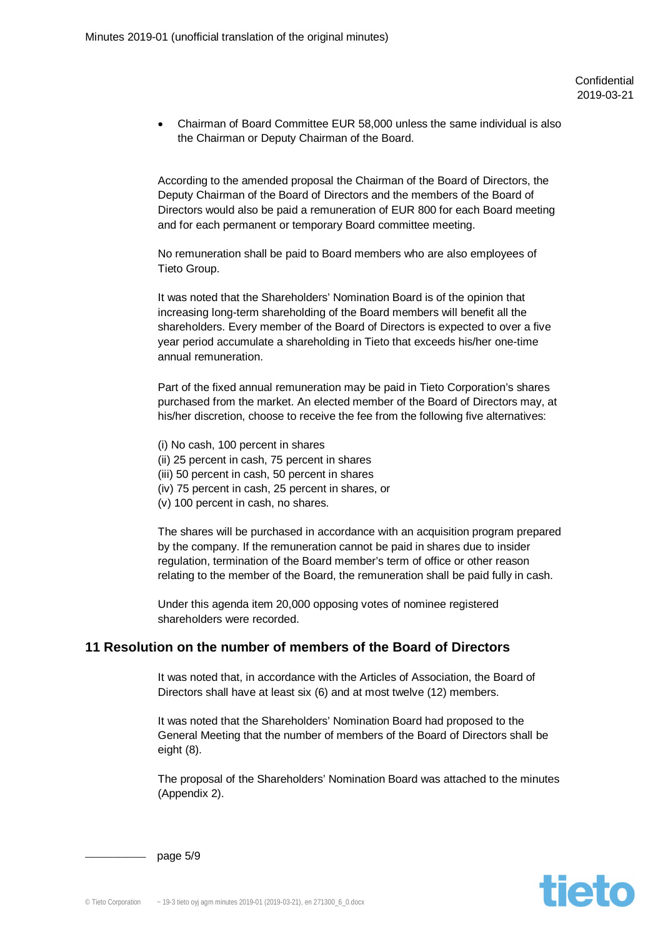x Chairman of Board Committee EUR 58,000 unless the same individual is also the Chairman or Deputy Chairman of the Board.

According to the amended proposal the Chairman of the Board of Directors, the Deputy Chairman of the Board of Directors and the members of the Board of Directors would also be paid a remuneration of EUR 800 for each Board meeting and for each permanent or temporary Board committee meeting.

No remuneration shall be paid to Board members who are also employees of Tieto Group.

It was noted that the Shareholders' Nomination Board is of the opinion that increasing long-term shareholding of the Board members will benefit all the shareholders. Every member of the Board of Directors is expected to over a five year period accumulate a shareholding in Tieto that exceeds his/her one-time annual remuneration.

Part of the fixed annual remuneration may be paid in Tieto Corporation's shares purchased from the market. An elected member of the Board of Directors may, at his/her discretion, choose to receive the fee from the following five alternatives:

- (i) No cash, 100 percent in shares
- (ii) 25 percent in cash, 75 percent in shares
- (iii) 50 percent in cash, 50 percent in shares
- (iv) 75 percent in cash, 25 percent in shares, or
- (v) 100 percent in cash, no shares.

The shares will be purchased in accordance with an acquisition program prepared by the company. If the remuneration cannot be paid in shares due to insider regulation, termination of the Board member's term of office or other reason relating to the member of the Board, the remuneration shall be paid fully in cash.

Under this agenda item 20,000 opposing votes of nominee registered shareholders were recorded.

## **11 Resolution on the number of members of the Board of Directors**

It was noted that, in accordance with the Articles of Association, the Board of Directors shall have at least six (6) and at most twelve (12) members.

It was noted that the Shareholders' Nomination Board had proposed to the General Meeting that the number of members of the Board of Directors shall be eight (8).

The proposal of the Shareholders' Nomination Board was attached to the minutes (Appendix 2).



page 5/9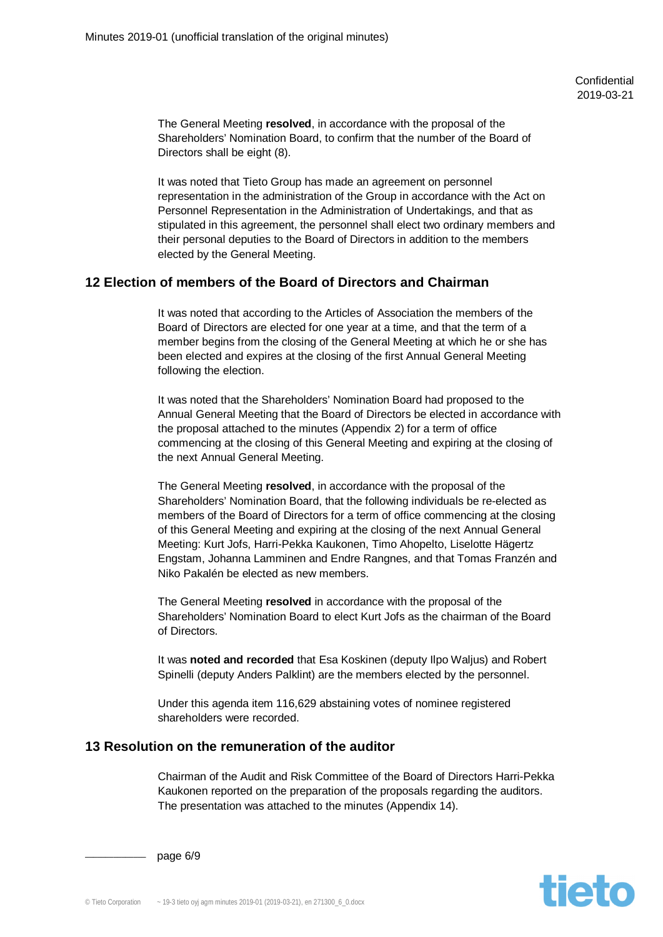The General Meeting **resolved**, in accordance with the proposal of the Shareholders' Nomination Board, to confirm that the number of the Board of Directors shall be eight (8).

It was noted that Tieto Group has made an agreement on personnel representation in the administration of the Group in accordance with the Act on Personnel Representation in the Administration of Undertakings, and that as stipulated in this agreement, the personnel shall elect two ordinary members and their personal deputies to the Board of Directors in addition to the members elected by the General Meeting.

# **12 Election of members of the Board of Directors and Chairman**

It was noted that according to the Articles of Association the members of the Board of Directors are elected for one year at a time, and that the term of a member begins from the closing of the General Meeting at which he or she has been elected and expires at the closing of the first Annual General Meeting following the election.

It was noted that the Shareholders' Nomination Board had proposed to the Annual General Meeting that the Board of Directors be elected in accordance with the proposal attached to the minutes (Appendix 2) for a term of office commencing at the closing of this General Meeting and expiring at the closing of the next Annual General Meeting.

The General Meeting **resolved**, in accordance with the proposal of the Shareholders' Nomination Board, that the following individuals be re-elected as members of the Board of Directors for a term of office commencing at the closing of this General Meeting and expiring at the closing of the next Annual General Meeting: Kurt Jofs, Harri-Pekka Kaukonen, Timo Ahopelto, Liselotte Hägertz Engstam, Johanna Lamminen and Endre Rangnes, and that Tomas Franzén and Niko Pakalén be elected as new members.

The General Meeting **resolved** in accordance with the proposal of the Shareholders' Nomination Board to elect Kurt Jofs as the chairman of the Board of Directors.

It was **noted and recorded** that Esa Koskinen (deputy Ilpo Waljus) and Robert Spinelli (deputy Anders Palklint) are the members elected by the personnel.

Under this agenda item 116,629 abstaining votes of nominee registered shareholders were recorded.

## **13 Resolution on the remuneration of the auditor**

Chairman of the Audit and Risk Committee of the Board of Directors Harri-Pekka Kaukonen reported on the preparation of the proposals regarding the auditors. The presentation was attached to the minutes (Appendix 14).

**tieto** 

page 6/9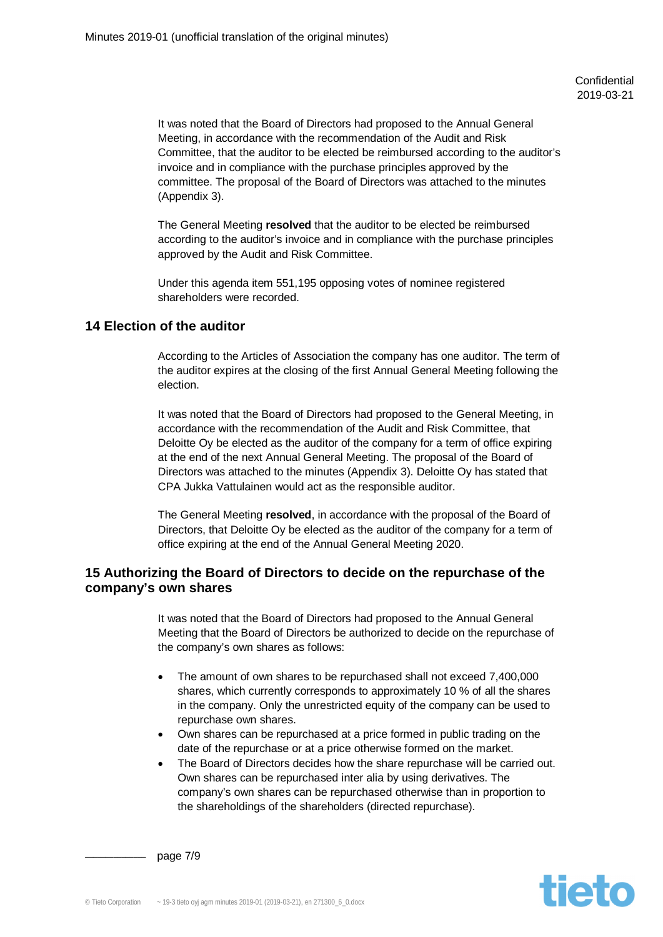It was noted that the Board of Directors had proposed to the Annual General Meeting, in accordance with the recommendation of the Audit and Risk Committee, that the auditor to be elected be reimbursed according to the auditor's invoice and in compliance with the purchase principles approved by the committee. The proposal of the Board of Directors was attached to the minutes (Appendix 3).

The General Meeting **resolved** that the auditor to be elected be reimbursed according to the auditor's invoice and in compliance with the purchase principles approved by the Audit and Risk Committee.

Under this agenda item 551,195 opposing votes of nominee registered shareholders were recorded.

# **14 Election of the auditor**

According to the Articles of Association the company has one auditor. The term of the auditor expires at the closing of the first Annual General Meeting following the election.

It was noted that the Board of Directors had proposed to the General Meeting, in accordance with the recommendation of the Audit and Risk Committee, that Deloitte Oy be elected as the auditor of the company for a term of office expiring at the end of the next Annual General Meeting. The proposal of the Board of Directors was attached to the minutes (Appendix 3). Deloitte Oy has stated that CPA Jukka Vattulainen would act as the responsible auditor.

The General Meeting **resolved**, in accordance with the proposal of the Board of Directors, that Deloitte Oy be elected as the auditor of the company for a term of office expiring at the end of the Annual General Meeting 2020.

# **15 Authorizing the Board of Directors to decide on the repurchase of the company's own shares**

It was noted that the Board of Directors had proposed to the Annual General Meeting that the Board of Directors be authorized to decide on the repurchase of the company's own shares as follows:

- The amount of own shares to be repurchased shall not exceed 7,400,000 shares, which currently corresponds to approximately 10 % of all the shares in the company. Only the unrestricted equity of the company can be used to repurchase own shares.
- Own shares can be repurchased at a price formed in public trading on the date of the repurchase or at a price otherwise formed on the market.
- The Board of Directors decides how the share repurchase will be carried out. Own shares can be repurchased inter alia by using derivatives. The company's own shares can be repurchased otherwise than in proportion to the shareholdings of the shareholders (directed repurchase).

page 7/9

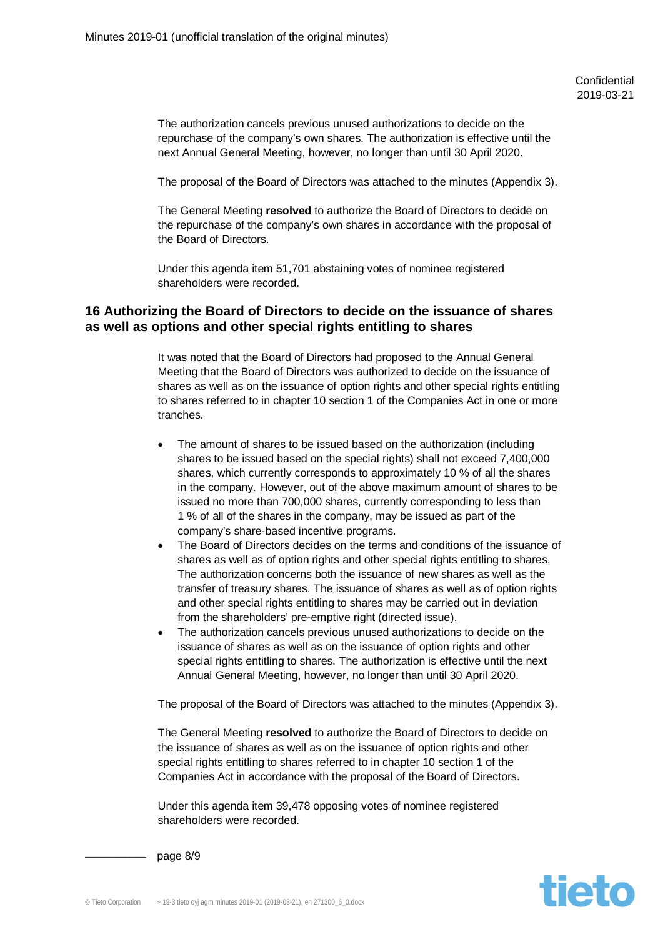The authorization cancels previous unused authorizations to decide on the repurchase of the company's own shares. The authorization is effective until the next Annual General Meeting, however, no longer than until 30 April 2020.

The proposal of the Board of Directors was attached to the minutes (Appendix 3).

The General Meeting **resolved** to authorize the Board of Directors to decide on the repurchase of the company's own shares in accordance with the proposal of the Board of Directors.

Under this agenda item 51,701 abstaining votes of nominee registered shareholders were recorded.

## **16 Authorizing the Board of Directors to decide on the issuance of shares as well as options and other special rights entitling to shares**

It was noted that the Board of Directors had proposed to the Annual General Meeting that the Board of Directors was authorized to decide on the issuance of shares as well as on the issuance of option rights and other special rights entitling to shares referred to in chapter 10 section 1 of the Companies Act in one or more tranches.

- The amount of shares to be issued based on the authorization (including shares to be issued based on the special rights) shall not exceed 7,400,000 shares, which currently corresponds to approximately 10 % of all the shares in the company. However, out of the above maximum amount of shares to be issued no more than 700,000 shares, currently corresponding to less than 1 % of all of the shares in the company, may be issued as part of the company's share-based incentive programs.
- The Board of Directors decides on the terms and conditions of the issuance of shares as well as of option rights and other special rights entitling to shares. The authorization concerns both the issuance of new shares as well as the transfer of treasury shares. The issuance of shares as well as of option rights and other special rights entitling to shares may be carried out in deviation from the shareholders' pre-emptive right (directed issue).
- The authorization cancels previous unused authorizations to decide on the issuance of shares as well as on the issuance of option rights and other special rights entitling to shares. The authorization is effective until the next Annual General Meeting, however, no longer than until 30 April 2020.

The proposal of the Board of Directors was attached to the minutes (Appendix 3).

The General Meeting **resolved** to authorize the Board of Directors to decide on the issuance of shares as well as on the issuance of option rights and other special rights entitling to shares referred to in chapter 10 section 1 of the Companies Act in accordance with the proposal of the Board of Directors.

Under this agenda item 39,478 opposing votes of nominee registered shareholders were recorded.

page 8/9